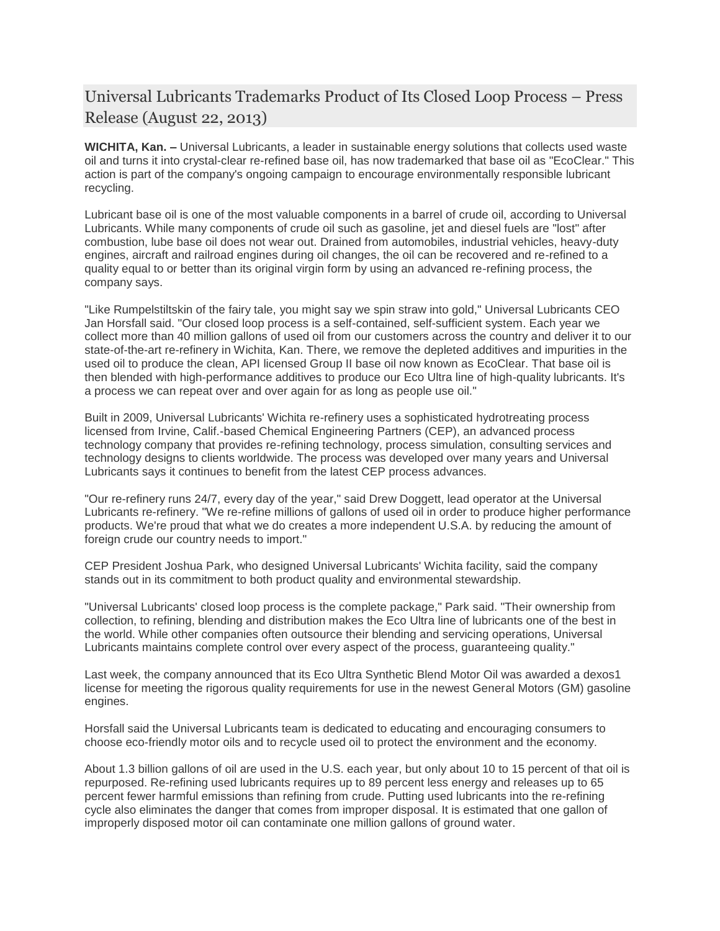## Universal Lubricants Trademarks Product of Its Closed Loop Process – Press Release (August 22, 2013)

**WICHITA, Kan. –** Universal Lubricants, a leader in sustainable energy solutions that collects used waste oil and turns it into crystal-clear re-refined base oil, has now trademarked that base oil as "EcoClear." This action is part of the company's ongoing campaign to encourage environmentally responsible lubricant recycling.

Lubricant base oil is one of the most valuable components in a barrel of crude oil, according to Universal Lubricants. While many components of crude oil such as gasoline, jet and diesel fuels are "lost" after combustion, lube base oil does not wear out. Drained from automobiles, industrial vehicles, heavy-duty engines, aircraft and railroad engines during oil changes, the oil can be recovered and re-refined to a quality equal to or better than its original virgin form by using an advanced re-refining process, the company says.

"Like Rumpelstiltskin of the fairy tale, you might say we spin straw into gold," Universal Lubricants CEO Jan Horsfall said. "Our closed loop process is a self-contained, self-sufficient system. Each year we collect more than 40 million gallons of used oil from our customers across the country and deliver it to our state-of-the-art re-refinery in Wichita, Kan. There, we remove the depleted additives and impurities in the used oil to produce the clean, API licensed Group II base oil now known as EcoClear. That base oil is then blended with high-performance additives to produce our Eco Ultra line of high-quality lubricants. It's a process we can repeat over and over again for as long as people use oil."

Built in 2009, Universal Lubricants' Wichita re-refinery uses a sophisticated hydrotreating process licensed from Irvine, Calif.-based Chemical Engineering Partners (CEP), an advanced process technology company that provides re-refining technology, process simulation, consulting services and technology designs to clients worldwide. The process was developed over many years and Universal Lubricants says it continues to benefit from the latest CEP process advances.

"Our re-refinery runs 24/7, every day of the year," said Drew Doggett, lead operator at the Universal Lubricants re-refinery. "We re-refine millions of gallons of used oil in order to produce higher performance products. We're proud that what we do creates a more independent U.S.A. by reducing the amount of foreign crude our country needs to import."

CEP President Joshua Park, who designed Universal Lubricants' Wichita facility, said the company stands out in its commitment to both product quality and environmental stewardship.

"Universal Lubricants' closed loop process is the complete package," Park said. "Their ownership from collection, to refining, blending and distribution makes the Eco Ultra line of lubricants one of the best in the world. While other companies often outsource their blending and servicing operations, Universal Lubricants maintains complete control over every aspect of the process, guaranteeing quality."

Last week, the company announced that its Eco Ultra Synthetic Blend Motor Oil was awarded a dexos1 license for meeting the rigorous quality requirements for use in the newest General Motors (GM) gasoline engines.

Horsfall said the Universal Lubricants team is dedicated to educating and encouraging consumers to choose eco-friendly motor oils and to recycle used oil to protect the environment and the economy.

About 1.3 billion gallons of oil are used in the U.S. each year, but only about 10 to 15 percent of that oil is repurposed. Re-refining used lubricants requires up to 89 percent less energy and releases up to 65 percent fewer harmful emissions than refining from crude. Putting used lubricants into the re-refining cycle also eliminates the danger that comes from improper disposal. It is estimated that one gallon of improperly disposed motor oil can contaminate one million gallons of ground water.